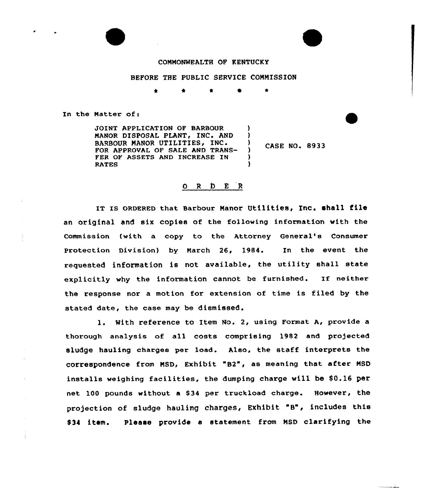## COMMONWEALTH OP KENTUCKY

## BEFORE THE PUBLIC SERVICE COMMISSION

) )<br>)

> ) )

À

\* \* e

In the Matter of:

JOINT APPLICATION OF BARBOUR MANOR DISPOSAL PLANT, INC. AND BARBOUR MANOR UTILITIES, INC. FOR APPROVAL OF SALE AND TRANS-FER OF ASSETS AND INCREASE IN RATES

CASE NO. 8933

# O R D E R

IT IS ORDERED that Barbour Manor Utilities, Inc. shall file an original and six copies of the following information with the Commission (with a copy to the Attorney General's Consumer Protection Division) by March 26, 1984. In the event the requested information is not available, the utility shall state explicitly why the information cannot be furnished. If neither the response nor <sup>a</sup> motion for extension of time is filed by the stated date, the case may be dismissed.

1. With reference to Item No. 2, using Format A, provide <sup>a</sup> thorough analysis of all costs comprising 1982 and projected sludge hauling charges per load. Also, the staff interprets the correspondence from MSD, Exhibit "B2", as meaning that after NSD installs weighing facilities, the dumping charge will be 80.16 per net 100 pounds without a \$34 per truckload charge. However, the projection of sludge hauling charges, Exhibit "B", includes this 034 item. Please provide a statement from MSD clarifying the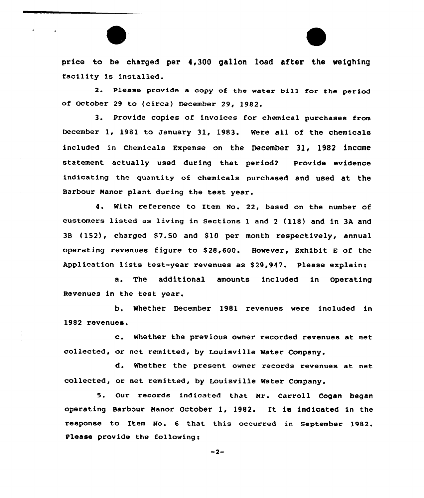price to be charged per 4,300 gallon load after the weighing facility is installed.

2. Please provide a copy of the water bill for the period of October 29 to (circa) December 29, 19&2.

3. Provide copies of invoices for chemical purchases from December 1, 1981 to January 31, 1983. Were all of the chemicals included in Chemicals Expense on the December 31, 1982 income statement actually used during that period? Provide evidence indicating the quantity of chemicals purchased and used at the Barbour Manor plant during the test year.

4. With reference to Item No. 22, based on the number of customers listed as living in Sections l and <sup>2</sup> (118) and in 3A and 3B {152), charged 87.50 and 810 per month respectively, annual operating revenues figure to \$ 28,600. However, Exhibit <sup>E</sup> of the Application lists test-year revenues as 829,947. Please explain:

a. The additional amounts included in Operating Revenues in the test year.

b. Whether December 1981 revenues were included in 1982 revenues.

c. Whether the previous owner recorded revenues at net collected, or net remitted, by Louisville Water Company.

d. Whether the present owner records revenues at net collected, or net remitted, by Louisville Water Company.

5. Our records indicated that Nr. Carroll Cogan began operating Barbour Manor October 1, 1982. It is indicated in the response to Item No. 6 that this occurred in September 1982. Please provide the following:

 $-2-$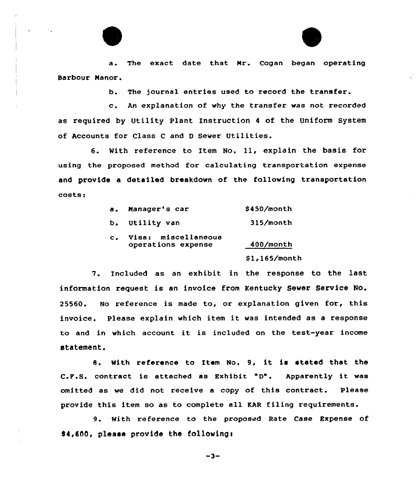a. The exact date that Nr. Cogan began operating Barbour Nanor.

b. The journal entries used to record the transfer.

c. An explanation of vhy the transfer vas not recorded as required by Utility Plant Instruction <sup>4</sup> of the Uniform System of Accounts for Class <sup>C</sup> and <sup>D</sup> Sever Utilities.

6. With reference to Item No. 11, explain the basis for using the proposed method for calculating transportation expense and provide a detailed breakdown of the following transportation costs:

| $\mathbf{a}$ . | Manager's car                             | $$450/m$ onth   |  |
|----------------|-------------------------------------------|-----------------|--|
|                | b. Utility van                            | $315/m$ onth    |  |
| $\mathbf{c}$ . | Visa: miscellaneous<br>operations expense | $400/m$ onth    |  |
|                |                                           | $$1,165/m$ onth |  |

7. Included as an exhibit in the response to the last information request is an invoice from Kentucky Sever Service No. 25560. No reference is made to, or explanation given for, this invoice. Please explain which item it was intended as <sup>a</sup> response to and in which account it is included on the test-year income statement.

8. With reference to Item No. 9, it is stated that the C.F.S. contract is attached as Exhibit "D". Apparently it was omitted as we did not receive a copy of this contract. Please provide this item so as to complete all KAR filing requirements.

9. With reference to the proposed Rate Case Expense of S4,600, please provide the followingt

 $-3-$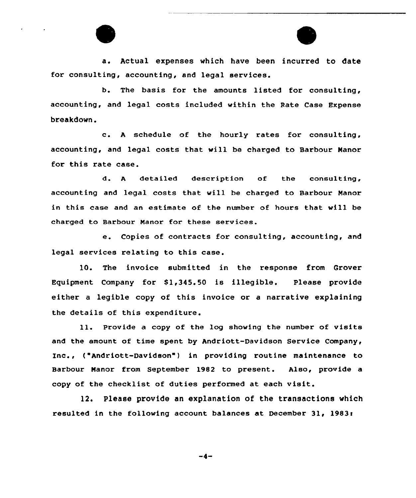a. Actual expenses which have been incurred to date for consulting, accounting, and legal services.

b. The basis for the amounts listed for consulting, accounting, and legal costs included within the Rate Case Expense breakdown.

c. <sup>A</sup> schedule of the hourly rates for consulting, accounting, and legal costs that will be charged to Barbour Manor for this rate case.

d. <sup>A</sup> detailed description of the consulting, accounting and legal costs that will be charged to Barbour Manor in this case and an estimate of the number of hours that will be charged to Barbour Manor for these services.

e. Copies of contracts for consulting, accounting, and legal services relating to this case.

10. The invoice submitted in the response from Grover Equipment Company for \$1,345.50 is illegible. Please provide either a legible copy of this invoice or a narrative explaining the details of this expenditure.

ll. Provide <sup>a</sup> copy of the log showing the number of visits and the amount of time spent by Andriott-Davidson Service Company, Inc., ('Andriott-Davidson ) in providing routine maintenance to Barbour Manor from September l982 to present. Also, provide a copy of the checklist of duties performed at each visit.

12. Please provide an explanation of the transactions which resulted in the following account balances at December 31, 1983s

$$
-4-
$$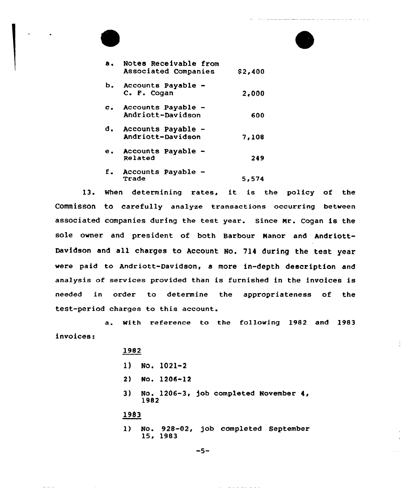

----------------

Ă,

13. Nhen determining rates, it is the policy of the Commisson to carefully analyze transactions occurring between associated companies during the test year. since Nr. Cogan is the sole owner and president of both Barbour Nanor and Andriott-Davidson and all charges to Account No. 714 during the test year were paid to Andriott-Davidson, a more in-depth description and analysis af services provided than is furnished in the invoices is needed in order to determine the appropriateness of the test-period charges to this account.

a. With reference to the following 1982 and 1983 invoicesi

#### 1982

|      |      | 1) No. 1021-2  |  |                                          |
|------|------|----------------|--|------------------------------------------|
|      |      | 2) No. 1206–12 |  |                                          |
|      | 1982 |                |  | 3) No. 1206-3, job completed November 4, |
| 1983 |      |                |  |                                          |
|      |      | 15, 1983       |  | 1) No. 928-02, job completed September   |

 $\mathcal{L}^{\text{c}}$  , and a simple parameter  $\mathcal{L}^{\text{c}}$ 

 $-5-$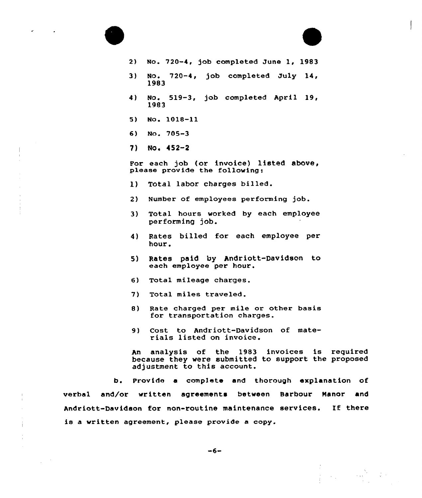|      | 2) No. 720-4, job completed June 1, 1983                                                                                      |
|------|-------------------------------------------------------------------------------------------------------------------------------|
| 3)   | No. 720-4, job completed July 14,<br>1983                                                                                     |
| 4)   | No. 519-3, job completed April 19,<br>1983                                                                                    |
| 5) — | No. 1018-11                                                                                                                   |
|      | 6) No. $705-3$                                                                                                                |
|      | $7)$ No. $452-2$                                                                                                              |
|      | For each job (or invoice) listed above,<br>please provide the following:                                                      |
| 1)   | Total labor charges billed.                                                                                                   |
| 2)   | Number of employees performing job.                                                                                           |
| 3)   | Total hours worked by each employee<br>performing job.                                                                        |
| 4)   | Rates billed for each employee per<br>hour.                                                                                   |
| 5)   | Rates paid by Andriott-Davidson to<br>each employee per hour.                                                                 |
| 6)   | Total mileage charges.                                                                                                        |
| 7)   | Total miles traveled.                                                                                                         |
| 8)   | Rate charged per mile or other basis<br>for transportation charges.                                                           |
| 9)   | Cost to Andriott-Davidson of mate-<br>rials listed on invoice.                                                                |
| An   | analysis of the 1983 invoices is require<br>because they were submitted to support the propose<br>adjustment to this account. |

 $\epsilon$ 

 $\frac{1}{4}$ 

 $\sim$   $\sim$ 

b. Provide a compIete and thorough explanation of verbal and/or written agreements between Barbour Nanor and Andriott-Davidson for non-routine maintenance services. If there is a written agreement, please provide a copy.

$$
-6-
$$

 $\label{eq:2} \begin{split} \mathcal{S}_{\text{max}} &= \frac{N_{\text{max}}}{N_{\text{max}}}\,,\\ \mathcal{S}_{\text{max}} &= \frac{N_{\text{max}}}{N_{\text{max}}}\,,\\ \mathcal{S}_{\text{max}} &= \frac{N_{\text{max}}}{N_{\text{max}}}\,,\\ \end{split}$ 

 $\frac{1}{2}$  ,  $\frac{1}{2}$  ,  $\frac{1}{2}$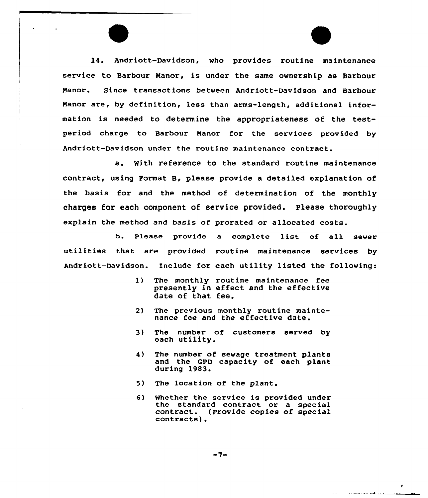14. Andriott-Davidson, who provides routine maintenance service to Barbour Manor, is under the same ownership as Barbour Manor. Since transactions between Andriott-Davidson and Barbour Manor are, by definition, less than arms-length, additional information is needed to determine the appropriateness of the testperiod charge to Barbour Manor for the services provided by Andriott-Davidson under the routine maintenance contract.

a. with reference to the standard routine maintenance contract, using Format B, please provide a detailed explanation of the basis for and the method of determination of the monthly charges for each component of service provided. Please thoroughly explain the method and basis of prorated or allocated costs.

b. Please provide <sup>a</sup> complete list of all sewer utilities that are provided routine maintenance services by Andriott-Davidson. Include for each utility listed the following:

- $\bf{1}$ The monthly routine maintenance fee presently in effect and the effective date of that fee.
- 2) The previous monthly routine maintenance fee and the effective date.
- The number of customers served by 3) each utility.
- The number of sewage treatment plants  $4)$ and the GPD capacity of each plant during 1983.
- 5) The location of the plant.
- 6) whether the service is provided under the standard contract or a special contract. (Provide copies of special contracts).

 $\bullet$ 

and the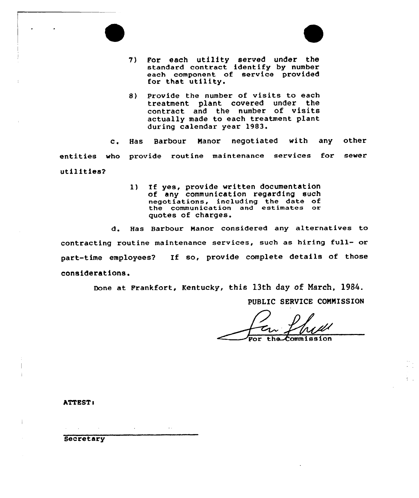

- 7) For each utility served under the standard contract identify by numbe each component of service provided for that utility.
- 8) Provide the number of visits to each treatment plant covered under the contract and the number of visits actually made to each treatment plant during calendar year 1983.

c. Has Barbour Manor negotiated with any other entities who provide routine maintenance services for sewer utilities?

> 1) If yes, provide written documentation of any communication regarding such negotiations, including the date of the communication and estimates or quotes of charges.

d. Has Barbour Manor considered any alternatives to contracting routine maintenance services, such as hiring full- or part-time employees'? If so, provide complete details of those considerations.

Done at Frankfort, Kentucky, this 13th day of March, 1984.

PUBLIC SERUICE CONNISSION

ommission

**ATTEST:** 

**Secretary**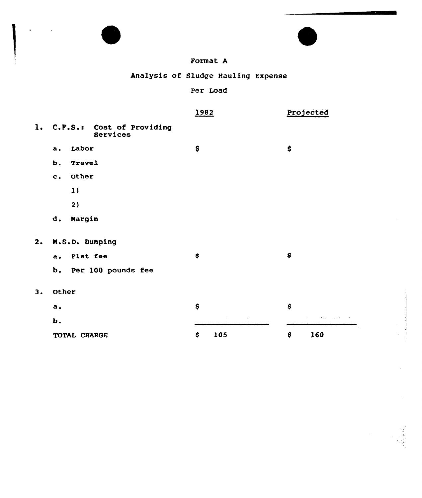|    |               |               |                               | Format A |                                    |           |     |  |
|----|---------------|---------------|-------------------------------|----------|------------------------------------|-----------|-----|--|
|    |               |               |                               |          | Analysis of Sludge Hauling Expense |           |     |  |
|    |               |               |                               | Per Load |                                    |           |     |  |
|    |               |               |                               | 1982     |                                    | Projected |     |  |
| 1. |               | C.F.S.:       | Cost of Providing<br>Services |          |                                    |           |     |  |
|    | а.            | Labor         |                               | \$       |                                    | \$        |     |  |
|    | Ь.            | <b>Travel</b> |                               |          |                                    |           |     |  |
|    | $\mathbf c$ . | Other         |                               |          |                                    |           |     |  |
|    |               | 1)            |                               |          |                                    |           |     |  |
|    |               | 2)            |                               |          |                                    |           |     |  |
|    | d.            | Margin        |                               |          |                                    |           |     |  |
| 2. |               |               | M.S.D. Dumping                |          |                                    |           |     |  |
|    | <b>a.</b>     | Plat fee      |                               | \$       |                                    | \$        |     |  |
|    | b.            |               | Per 100 pounds fee            |          |                                    |           |     |  |
| 3. | Other         |               |                               |          |                                    |           |     |  |
|    | a.            |               |                               | \$       |                                    | \$        |     |  |
|    | b.            |               |                               |          |                                    |           |     |  |
|    |               | TOTAL CHARGE  |                               | \$       | 105                                | \$        | 160 |  |

 $\ddot{\phantom{0}}$